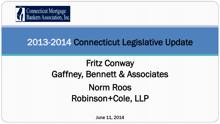

#### 2013-2014 Connecticut Legislative Update

l

I

# Fritz Conway Gaffney, Bennett & Associates Norm Roos Robinson+Cole, LLP

June 11, 2014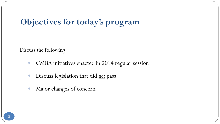### **Objectives for today's program**

Discuss the following:

- CMBA initiatives enacted in 2014 regular session
- Discuss legislation that did *not* pass
- Major changes of concern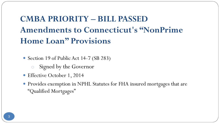### **CMBA PRIORITY – BILL PASSED Amendments to Connecticut's "NonPrime Home Loan" Provisions**

• Section 19 of Public Act 14-7 (SB 283)

- o Signed by the Governor
- Effective October 1, 2014
- Provides exemption in NPHL Statutes for FHA insured mortgages that are "Qualified Mortgages"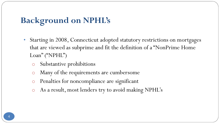### **Background on NPHL's**

- Starting in 2008, Connecticut adopted statutory restrictions on mortgages that are viewed as subprime and fit the definition of a "NonPrime Home Loan" ("NPHL")
	- Substantive prohibitions
	- Many of the requirements are cumbersome
	- Penalties for noncompliance are significant
	- o As a result, most lenders try to avoid making NPHL's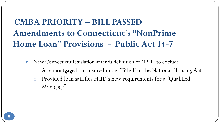### **CMBA PRIORITY – BILL PASSED Amendments to Connecticut's "NonPrime Home Loan" Provisions - Public Act 14-7**

- New Connecticut legislation amends definition of NPHL to exclude
	- o Any mortgage loan insured under Title II of the National Housing Act o Provided loan satisfies HUD's new requirements for a "Qualified Mortgage"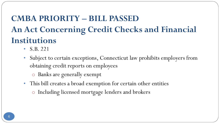### **CMBA PRIORITY – BILL PASSED An Act Concerning Credit Checks and Financial Institutions**

- S.B. 221
- Subject to certain exceptions, Connecticut law prohibits employers from obtaining credit reports on employees
	- o Banks are generally exempt
- This bill creates a broad exemption for certain other entities
	- o Including licensed mortgage lenders and brokers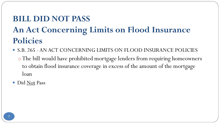### **BILL DID NOT PASS An Act Concerning Limits on Flood Insurance Policies**

- S.B. 265 -AN ACT CONCERNING LIMITS ON FLOOD INSURANCE POLICIES o The bill would have prohibited mortgage lenders from requiring homeowners to obtain flood insurance coverage in excess of the amount of the mortgage loan
- Did Not Pass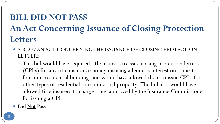#### **BILL DID NOT PASS**

### **An Act Concerning Issuance of Closing Protection Letters**

- S.B. 277 AN ACT CONCERNING THE ISSUANCE OF CLOSING PROTECTION LETTERS
	- o This bill would have required title insurers to issue closing protection letters (CPLs) for any title insurance policy insuring a lender's interest on a one-tofour unit residential building, and would have allowed them to issue CPLs for other types of residential or commercial property. The bill also would have allowed title insurers to charge a fee, approved by the Insurance Commissioner, for issuing a CPL.
- Did Not Pass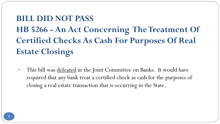# **BILL DID NOT PASS HB 5266 - An Act Concerning The Treatment Of Certified Checks As Cash For Purposes Of Real Estate Closings**

• This bill was defeated in the Joint Committee on Banks. It would have required that any bank treat a certified check as cash for the purposes of closing a real estate transaction that is occurring in the State.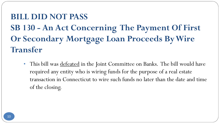### **BILL DID NOT PASS SB 130 - An Act Concerning The Payment Of First Or Secondary Mortgage Loan Proceeds By Wire Transfer**

• This bill was defeated in the Joint Committee on Banks. The bill would have required any entity who is wiring funds for the purpose of a real estate transaction in Connecticut to wire such funds no later than the date and time of the closing.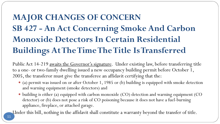# **MAJOR CHANGES OF CONCERN SB 427 - An Act Concerning Smoke And Carbon Monoxide Detectors In Certain Residential Buildings At The Time The Title Is Transferred**

Public Act 14-219 awaits the Governor's signature. Under existing law, before transferring title to a one- or two-family dwelling issued a new occupancy building permit before October 1, 2005, the transferor must give the transferee an affidavit certifying that the:

- (a) permit was issued on or after October 1, 1985 or (b) building is equipped with smoke detection and warning equipment (smoke detectors) and
- building is either (a) equipped with carbon monoxide (CO) detection and warning equipment (CO detector) or (b) does not pose a risk of CO poisoning because it does not have a fuel-burning appliance, fireplace, or attached garage.

Under this bill, nothing in the affidavit shall constitute a warranty beyond the transfer of title.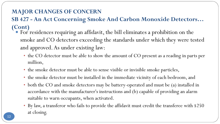#### **MAJOR CHANGES OF CONCERN**

#### **SB 427 - An Act Concerning Smoke And Carbon Monoxide Detectors… (Cont)**

- For residences requiring an affidavit, the bill eliminates a prohibition on the smoke and CO detectors exceeding the standards under which they were tested and approved. As under existing law:
	- the CO detector must be able to show the amount of CO present as a reading in parts per million,
	- the smoke detector must be able to sense visible or invisible smoke particles,
	- the smoke detector must be installed in the immediate vicinity of each bedroom, and
	- both the CO and smoke detectors may be battery-operated and must be (a) installed in accordance with the manufacturer's instructions and (b) capable of providing an alarm suitable to warn occupants, when activated.
	- By law, a transferor who fails to provide the affidavit must credit the transferee with \$250 at closing.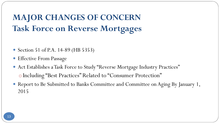**MAJOR CHANGES OF CONCERN Task Force on Reverse Mortgages**

- Section 51 of P.A. 14-89 (HB 5353)
- Effective From Passage
- Act Establishes a Task Force to Study "Reverse Mortgage Industry Practices" o Including "Best Practices" Related to "Consumer Protection"
- Report to Be Submitted to Banks Committee and Committee on Aging By January 1, 2015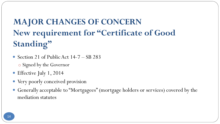# **MAJOR CHANGES OF CONCERN New requirement for "Certificate of Good Standing"**

- Section 21 of Public Act 14-7 SB 283 o Signed by the Governor
- Effective July 1, 2014
- Very poorly conceived provision
- Generally acceptable to "Mortgagees" (mortgage holders or services) covered by the mediation statutes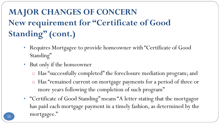# **MAJOR CHANGES OF CONCERN New requirement for "Certificate of Good Standing" (cont.)**

- Requires Mortgagee to provide homeowner with "Certificate of Good Standing"
- But only if the homeowner
	- o Has "successfully completed" the foreclosure mediation program; and
	- o Has "remained current on mortgage payments for a period of three or more years following the completion of such program"
- "Certificate of Good Standing" means "A letter stating that the mortgagor has paid each mortgage payment in a timely fashion, as determined by the 15 mortgagee."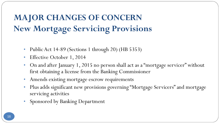### **MAJOR CHANGES OF CONCERN New Mortgage Servicing Provisions**

- Public Act 14-89 (Sections 1 through 20) (HB 5353)
- Effective October 1, 2014
- On and after January 1, 2015 no person shall act as a "mortgage servicer" without first obtaining a license from the Banking Commissioner
- Amends existing mortgage escrow requirements
- Plus adds significant new provisions governing "Mortgage Servicers" and mortgage servicing activities
- Sponsored by Banking Department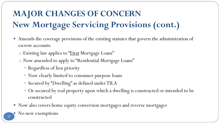# **MAJOR CHANGES OF CONCERN New Mortgage Servicing Provisions (cont.)**

- Amends the coverage provisions of the existing statutes that govern the administration of escrow accounts
	- o Existing law applies to "First Mortgage Loans"
	- o Now amended to apply to "Residential Mortgage Loans"
		- Regardless of lien priority
		- Now clearly limited to consumer purpose loans
		- Secured by "Dwelling" as defined under TILA
		- Or secured by real property upon which a dwelling is constructed or intended to be constructed
- Now also covers home equity conversion mortgages and reverse mortgages
	- No new exemptions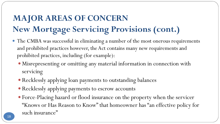### **MAJOR AREAS OF CONCERN New Mortgage Servicing Provisions (cont.)**

- The CMBA was successful in eliminating a number of the most onerous requirements and prohibited practices however, the Act contains many new requirements and prohibited practices, including (for example):
	- Misrepresenting or omitting any material information in connection with servicing
	- Recklessly applying loan payments to outstanding balances
	- Recklessly applying payments to escrow accounts
	- Force-Placing hazard or flood insurance on the property when the servicer "Knows or Has Reason to Know" that homeowner has "an effective policy for such insurance"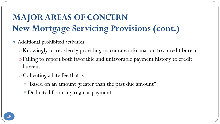### **MAJOR AREAS OF CONCERN New Mortgage Servicing Provisions (cont.)**

- Additional prohibited activities
	- oKnowingly or recklessly providing inaccurate information to a credit bureau o Failing to report both favorable and unfavorable payment history to credit bureaus
	- oCollecting a late fee that is
		- "Based on an amount greater than the past due amount"
		- Deducted from any regular payment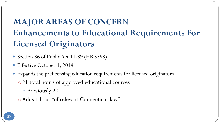# **MAJOR AREAS OF CONCERN Enhancements to Educational Requirements For Licensed Originators**

- Section 36 of Public Act 14-89 (HB 5353)
- Effective October 1, 2014
- Expands the prelicensing education requirements for licensed originators o 21 total hours of approved educational courses
	- **Previously 20**
	- o Adds 1 hour "of relevant Connecticut law"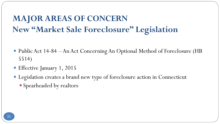### **MAJOR AREAS OF CONCERN New "Market Sale Foreclosure" Legislation**

- Public Act 14-84 An Act Concerning An Optional Method of Foreclosure (HB 5514)
- Effective January 1, 2015
- Legislation creates a brand new type of foreclosure action in Connecticut
	- Spearheaded by realtors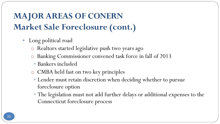- Long political road
	- o Realtors started legislative push two years ago
	- o Banking Commissioner convened task force in fall of 2013
		- Bankers included
	- o CMBA held fast on two key principles
		- **Lender must retain discretion when deciding whether to pursue** foreclosure option
		- The legislation must not add further delays or additional expenses to the Connecticut foreclosure process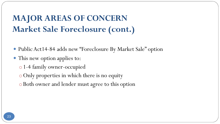- Public Act14-84 adds new "Foreclosure By Market Sale" option
- This new option applies to:
	- o 1-4 family owner-occupied
	- oOnly properties in which there is no equity
	- o Both owner and lender must agree to this option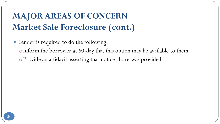- Lender is required to do the following:
	- o Inform the borrower at 60-day that this option may be available to them
	- o Provide an affidavit asserting that notice above was provided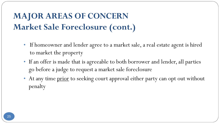- If homeowner and lender agree to a market sale, a real estate agent is hired to market the property
- If an offer is made that is agreeable to both borrower and lender, all parties go before a judge to request a market sale foreclosure
- At any time prior to seeking court approval either party can opt out without penalty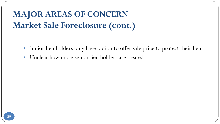- Junior lien holders only have option to offer sale price to protect their lien
- Unclear how more senior lien holders are treated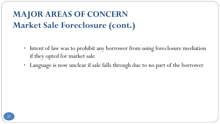- Intent of law was to prohibit any borrower from using foreclosure mediation if they opted for market sale
- Language is now unclear if sale falls through due to no part of the borrower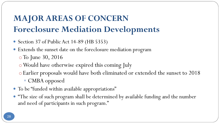### **MAJOR AREAS OF CONCERN Foreclosure Mediation Developments**

- Section 37 of Public Act 14-89 (HB 5353)
- Extends the sunset date on the foreclosure mediation program o To June 30, 2016
	- oWould have otherwise expired this coming July
	- o Earlier proposals would have both eliminated or extended the sunset to 2018 ■ CMBA opposed
- To be "funded within available appropriations"
- "The size of such program shall be determined by available funding and the number and need of participants in such program."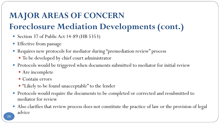#### **MAJOR AREAS OF CONCERN**

#### **Foreclosure Mediation Developments (cont.)**

- Section 37 of Public Act 14-89 (HB 5353)
- Effective from passage
- Requires new protocols for mediator during "premediation review" process
	- To be developed by chief court administrator
- Protocols would be triggered when documents submitted to mediator for initial review
	- Are incomplete
	- Contain errors
	- "Likely to be found unacceptable" to the lender
- Protocols would require the documents to be completed or corrected and resubmitted to mediator for review
- Also clarifies that review process does not constitute the practice of law or the provision of legal advice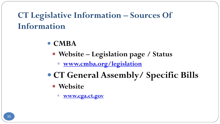**CT Legislative Information – Sources Of Information**

- **CMBA** 
	- **Website – Legislation page / Status**
		- **[www.cmba.org/legislation](http://www.cmba.org/legislation)**
- **CT General Assembly/ Specific Bills** 
	- **Website**
		- **[www.cga.ct.gov](http://www.cga.ct.gov/)**